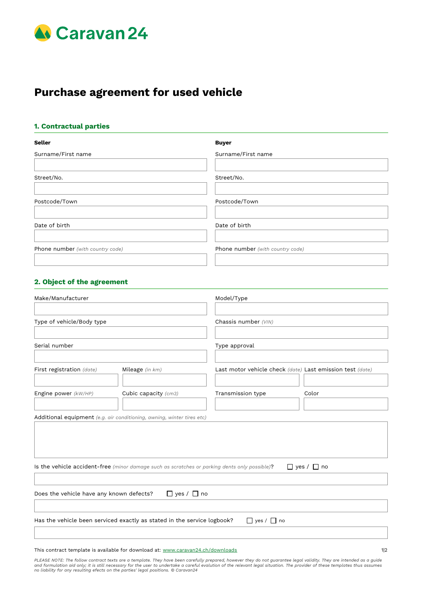

# **Purchase agreement for used vehicle**

### **1. Contractual parties**

| <b>Seller</b>                    | <b>Buyer</b>                     |
|----------------------------------|----------------------------------|
| Surname/First name               | Surname/First name               |
| Street/No.                       | Street/No.                       |
| Postcode/Town                    | Postcode/Town                    |
| Date of birth                    | Date of birth                    |
| Phone number (with country code) | Phone number (with country code) |
|                                  |                                  |

## **2. Object of the agreement**

| Make/Manufacturer                        |                                                                                               | Model/Type             |                                                           |  |  |
|------------------------------------------|-----------------------------------------------------------------------------------------------|------------------------|-----------------------------------------------------------|--|--|
|                                          |                                                                                               |                        |                                                           |  |  |
| Type of vehicle/Body type                |                                                                                               | Chassis number (VIN)   |                                                           |  |  |
|                                          |                                                                                               |                        |                                                           |  |  |
| Serial number                            |                                                                                               | Type approval          |                                                           |  |  |
| First registration (date)                | Mileage (in km)                                                                               |                        | Last motor vehicle check (date) Last emission test (date) |  |  |
| Engine power (kW/HP)                     | Cubic capacity (cm3)                                                                          | Transmission type      | Color                                                     |  |  |
|                                          | Additional equipment (e.g. air conditioning, awning, winter tires etc)                        |                        |                                                           |  |  |
|                                          | Is the vehicle accident-free (minor damage such as scratches or parking dents only possible)? |                        | $\Box$ yes / $\Box$ no                                    |  |  |
|                                          |                                                                                               |                        |                                                           |  |  |
| Does the vehicle have any known defects? | $\Box$ yes / $\Box$ no                                                                        |                        |                                                           |  |  |
|                                          |                                                                                               |                        |                                                           |  |  |
|                                          | Has the vehicle been serviced exactly as stated in the service logbook?                       | $\Box$ yes / $\Box$ no |                                                           |  |  |
|                                          |                                                                                               |                        |                                                           |  |  |
|                                          |                                                                                               |                        |                                                           |  |  |

This contract template is available for download at: [www.caravan24.ch/downloads](http://www.caravan24.ch/downloads) 112

PLEASE NOTE: The follow contract texts are a template. They have been carefully prepared, however they do not guarantee legal validity. They are intended as a guide<br>and formulation aid only; it is still necessary for the u *no liability for any resulting efects on the parties' legal positions. © Caravan24*